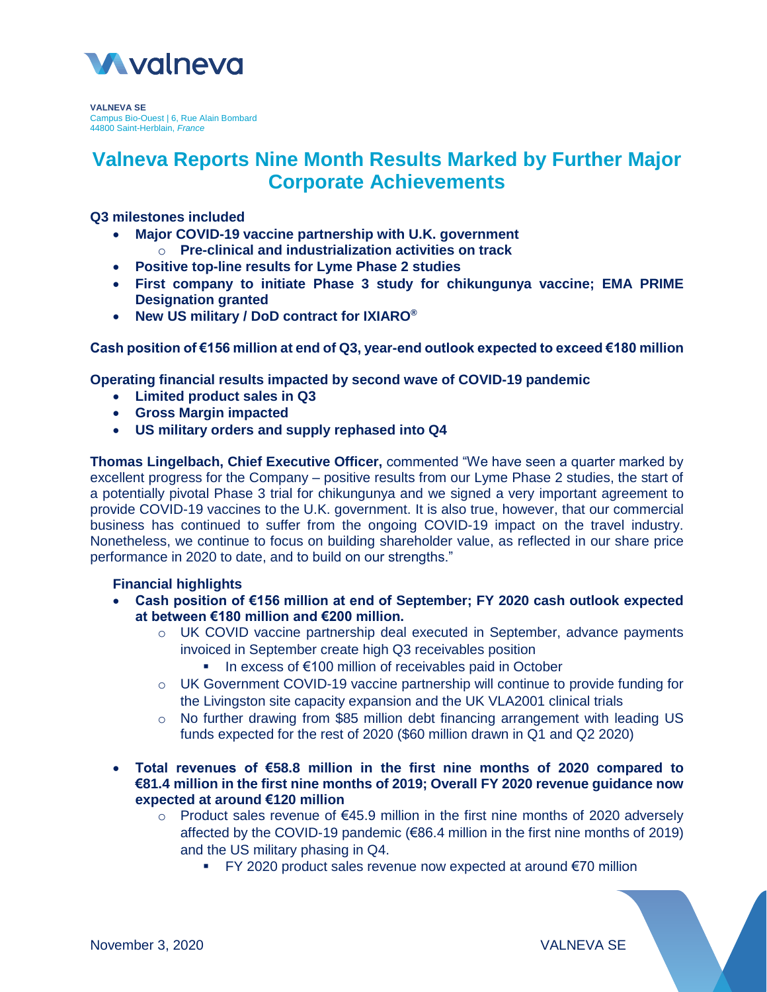

**VALNEVA SE** Campus Bio-Ouest | 6, Rue Alain Bombard 44800 Saint-Herblain, *France*

# **Valneva Reports Nine Month Results Marked by Further Major Corporate Achievements**

# **Q3 milestones included**

- **Major COVID-19 vaccine partnership with U.K. government**
	- o **Pre-clinical and industrialization activities on track**
- **Positive top-line results for Lyme Phase 2 studies**
- **First company to initiate Phase 3 study for chikungunya vaccine; EMA PRIME Designation granted**
- **New US military / DoD contract for IXIARO®**

**Cash position of €156 million at end of Q3, year-end outlook expected to exceed €180 million**

**Operating financial results impacted by second wave of COVID-19 pandemic**

- **Limited product sales in Q3**
- **Gross Margin impacted**
- **US military orders and supply rephased into Q4**

**Thomas Lingelbach, Chief Executive Officer,** commented "We have seen a quarter marked by excellent progress for the Company – positive results from our Lyme Phase 2 studies, the start of a potentially pivotal Phase 3 trial for chikungunya and we signed a very important agreement to provide COVID-19 vaccines to the U.K. government. It is also true, however, that our commercial business has continued to suffer from the ongoing COVID-19 impact on the travel industry. Nonetheless, we continue to focus on building shareholder value, as reflected in our share price performance in 2020 to date, and to build on our strengths."

#### **Financial highlights**

- **Cash position of €156 million at end of September; FY 2020 cash outlook expected at between €180 million and €200 million.**
	- o UK COVID vaccine partnership deal executed in September, advance payments invoiced in September create high Q3 receivables position
		- In excess of €100 million of receivables paid in October
	- o UK Government COVID-19 vaccine partnership will continue to provide funding for the Livingston site capacity expansion and the UK VLA2001 clinical trials
	- $\circ$  No further drawing from \$85 million debt financing arrangement with leading US funds expected for the rest of 2020 (\$60 million drawn in Q1 and Q2 2020)
- **Total revenues of €58.8 million in the first nine months of 2020 compared to €81.4 million in the first nine months of 2019; Overall FY 2020 revenue guidance now expected at around €120 million**
	- o Product sales revenue of €45.9 million in the first nine months of 2020 adversely affected by the COVID-19 pandemic (€86.4 million in the first nine months of 2019) and the US military phasing in Q4.
		- FY 2020 product sales revenue now expected at around €70 million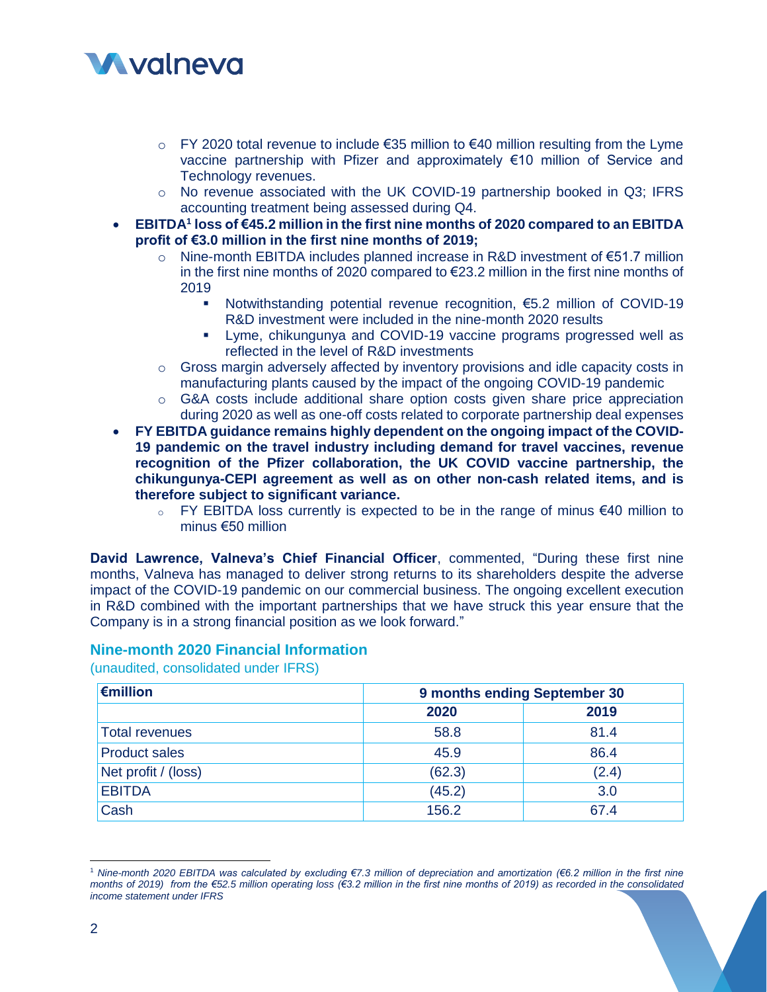# **M**valneva

- $\circ$  FY 2020 total revenue to include €35 million to €40 million resulting from the Lyme vaccine partnership with Pfizer and approximately €10 million of Service and Technology revenues.
- o No revenue associated with the UK COVID-19 partnership booked in Q3; IFRS accounting treatment being assessed during Q4.
- **EBITDA<sup>1</sup> loss of €45.2 million in the first nine months of 2020 compared to an EBITDA profit of €3.0 million in the first nine months of 2019;** 
	- o Nine-month EBITDA includes planned increase in R&D investment of €51.7 million in the first nine months of 2020 compared to €23.2 million in the first nine months of 2019
		- Notwithstanding potential revenue recognition, €5.2 million of COVID-19 R&D investment were included in the nine-month 2020 results
		- Lyme, chikungunya and COVID-19 vaccine programs progressed well as reflected in the level of R&D investments
	- $\circ$  Gross margin adversely affected by inventory provisions and idle capacity costs in manufacturing plants caused by the impact of the ongoing COVID-19 pandemic
	- $\circ$  G&A costs include additional share option costs given share price appreciation during 2020 as well as one-off costs related to corporate partnership deal expenses

 **FY EBITDA guidance remains highly dependent on the ongoing impact of the COVID-19 pandemic on the travel industry including demand for travel vaccines, revenue recognition of the Pfizer collaboration, the UK COVID vaccine partnership, the chikungunya-CEPI agreement as well as on other non-cash related items, and is therefore subject to significant variance.**

o FY EBITDA loss currently is expected to be in the range of minus €40 million to minus €50 million

**David Lawrence, Valneva's Chief Financial Officer**, commented, "During these first nine months, Valneva has managed to deliver strong returns to its shareholders despite the adverse impact of the COVID-19 pandemic on our commercial business. The ongoing excellent execution in R&D combined with the important partnerships that we have struck this year ensure that the Company is in a strong financial position as we look forward."

# **Nine-month 2020 Financial Information**

(unaudited, consolidated under IFRS)

| $\epsilon$ million   | 9 months ending September 30 |       |
|----------------------|------------------------------|-------|
|                      | 2020                         | 2019  |
| Total revenues       | 58.8                         | 81.4  |
| <b>Product sales</b> | 45.9                         | 86.4  |
| Net profit / (loss)  | (62.3)                       | (2.4) |
| <b>EBITDA</b>        | (45.2)                       | 3.0   |
| Cash                 | 156.2                        | 67.4  |

 $\overline{a}$ <sup>1</sup> *Nine-month 2020 EBITDA was calculated by excluding €7.3 million of depreciation and amortization (€6.2 million in the first nine months of 2019) from the €52.5 million operating loss (€3.2 million in the first nine months of 2019) as recorded in the consolidated income statement under IFRS*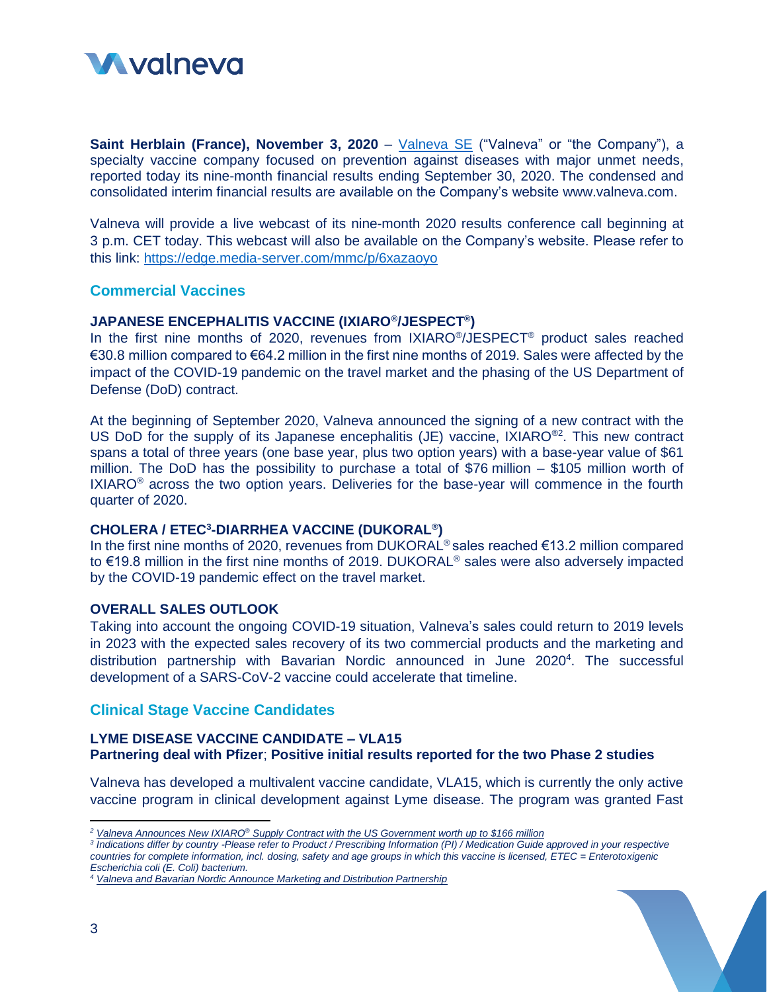

**Saint Herblain (France), November 3, 2020** – [Valneva SE](http://www.valneva.com/) ("Valneva" or "the Company"), a specialty vaccine company focused on prevention against diseases with major unmet needs, reported today its nine-month financial results ending September 30, 2020. The condensed and consolidated interim financial results are available on the Company's website [www.valneva.com.](http://www.valneva.com/)

Valneva will provide a live webcast of its nine-month 2020 results conference call beginning at 3 p.m. CET today. This webcast will also be available on the Company's website. Please refer to this link: <https://edge.media-server.com/mmc/p/6xazaoyo>

# **Commercial Vaccines**

#### **JAPANESE ENCEPHALITIS VACCINE (IXIARO® /JESPECT® )**

In the first nine months of 2020, revenues from IXIARO<sup>®</sup>/JESPECT<sup>®</sup> product sales reached €30.8 million compared to €64.2 million in the first nine months of 2019. Sales were affected by the impact of the COVID-19 pandemic on the travel market and the phasing of the US Department of Defense (DoD) contract.

At the beginning of September 2020, Valneva announced the signing of a new contract with the US DoD for the supply of its Japanese encephalitis (JE) vaccine, IXIARO<sup>®2</sup>. This new contract spans a total of three years (one base year, plus two option years) with a base-year value of \$61 million. The DoD has the possibility to purchase a total of \$76 million – \$105 million worth of  $IXIARO<sup>®</sup>$  across the two option years. Deliveries for the base-year will commence in the fourth quarter of 2020.

#### **CHOLERA / ETEC<sup>3</sup> -DIARRHEA VACCINE (DUKORAL® )**

In the first nine months of 2020, revenues from DUKORAL<sup>®</sup> sales reached €13.2 million compared to €19.8 million in the first nine months of 2019. DUKORAL® sales were also adversely impacted by the COVID-19 pandemic effect on the travel market.

#### **OVERALL SALES OUTLOOK**

Taking into account the ongoing COVID-19 situation, Valneva's sales could return to 2019 levels in 2023 with the expected sales recovery of its two commercial products and the marketing and distribution partnership with Bavarian Nordic announced in June 2020<sup>4</sup>. The successful development of a SARS-CoV-2 vaccine could accelerate that timeline.

# **Clinical Stage Vaccine Candidates**

#### **LYME DISEASE VACCINE CANDIDATE – VLA15 Partnering deal with Pfizer**; **Positive initial results reported for the two Phase 2 studies**

Valneva has developed a multivalent vaccine candidate, VLA15, which is currently the only active vaccine program in clinical development against Lyme disease. The program was granted Fast

<sup>3</sup> Indications differ by country -Please refer to Product / Prescribing Information (PI) / Medication Guide approved in your respective *countries for complete information, incl. dosing, safety and age groups in which this vaccine is licensed, ETEC = Enterotoxigenic Escherichia coli (E. Coli) bacterium.*

 $\overline{a}$ 

*<sup>2</sup> Valneva Announces New IXIARO® [Supply Contract with the US Government worth up to \\$166 million](https://valneva.com/press-release/valneva-announces-new-ixiaro-supply-contract-with-the-us-government-worth-up-to-166-million/)*

*<sup>4</sup> [Valneva and Bavarian Nordic Announce Marketing and Distribution Partnership](https://valneva.com/press-release/valneva-and-bavarian-nordic-announce-marketing-and-distribution-partnership/)*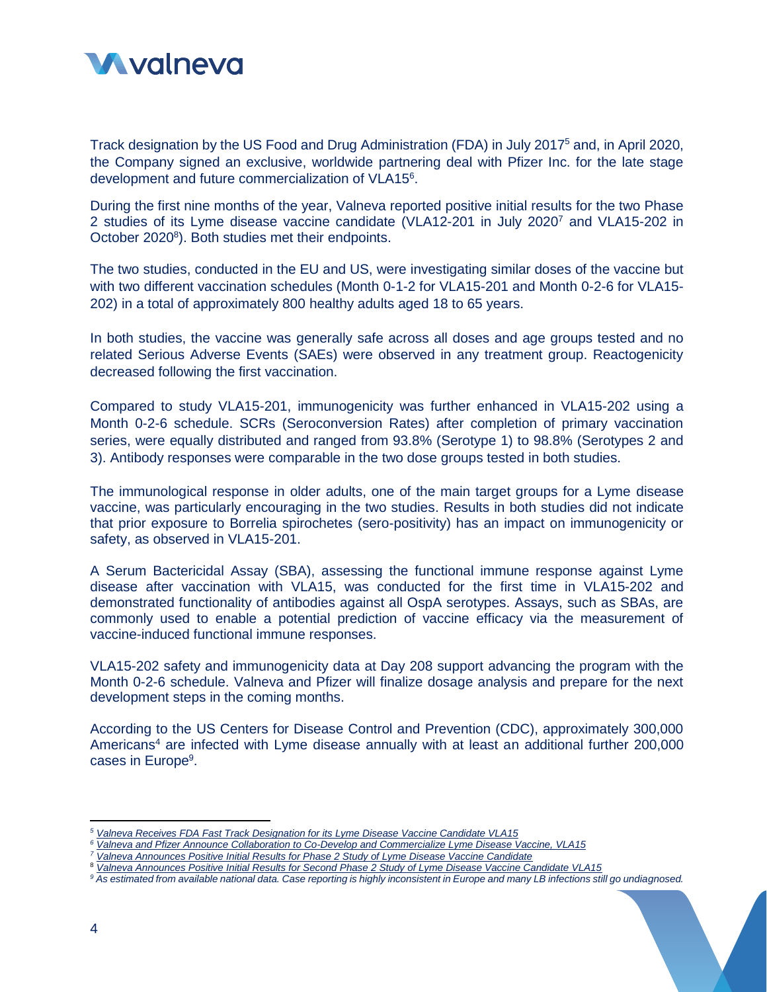

Track designation by the US Food and Drug Administration (FDA) in July 2017<sup>5</sup> and, in April 2020, the Company signed an exclusive, worldwide partnering deal with Pfizer Inc. for the late stage development and future commercialization of VLA15<sup>6</sup>.

During the first nine months of the year, Valneva reported positive initial results for the two Phase 2 studies of its Lyme disease vaccine candidate (VLA12-201 in July 2020<sup>7</sup> and VLA15-202 in October 2020<sup>8</sup>). Both studies met their endpoints.

The two studies, conducted in the EU and US, were investigating similar doses of the vaccine but with two different vaccination schedules (Month 0-1-2 for VLA15-201 and Month 0-2-6 for VLA15- 202) in a total of approximately 800 healthy adults aged 18 to 65 years.

In both studies, the vaccine was generally safe across all doses and age groups tested and no related Serious Adverse Events (SAEs) were observed in any treatment group. Reactogenicity decreased following the first vaccination.

Compared to study VLA15-201, immunogenicity was further enhanced in VLA15-202 using a Month 0-2-6 schedule. SCRs (Seroconversion Rates) after completion of primary vaccination series, were equally distributed and ranged from 93.8% (Serotype 1) to 98.8% (Serotypes 2 and 3). Antibody responses were comparable in the two dose groups tested in both studies.

The immunological response in older adults, one of the main target groups for a Lyme disease vaccine, was particularly encouraging in the two studies. Results in both studies did not indicate that prior exposure to Borrelia spirochetes (sero-positivity) has an impact on immunogenicity or safety, as observed in VLA15-201.

A Serum Bactericidal Assay (SBA), assessing the functional immune response against Lyme disease after vaccination with VLA15, was conducted for the first time in VLA15-202 and demonstrated functionality of antibodies against all OspA serotypes. Assays, such as SBAs, are commonly used to enable a potential prediction of vaccine efficacy via the measurement of vaccine-induced functional immune responses.

VLA15-202 safety and immunogenicity data at Day 208 support advancing the program with the Month 0-2-6 schedule. Valneva and Pfizer will finalize dosage analysis and prepare for the next development steps in the coming months.

According to the US Centers for Disease Control and Prevention (CDC), approximately 300,000 Americans<sup>4</sup> are infected with Lyme disease annually with at least an additional further 200,000 cases in Europe<sup>9</sup>.

 $\overline{a}$ 

*<sup>5</sup> [Valneva Receives FDA Fast Track Designation for its Lyme Disease Vaccine Candidate VLA15](https://valneva.com/press-release/valneva-receives-fda-fast-track-designation-for-its-lyme-disease-vaccine-candidate-vla15/)*

*<sup>6</sup> [Valneva and Pfizer Announce Collaboration to Co-Develop and Commercialize Lyme Disease Vaccine, VLA15](https://valneva.com/press-release/valneva-and-pfizer-announce-collaboration-to-co-develop-and-commercialize-lyme-disease-vaccine-vla15/)*

*<sup>7</sup> [Valneva Announces Positive Initial Results for Phase 2 Study of Lyme Disease Vaccine Candidate](https://valneva.com/press-release/valneva-announces-positive-initial-results-for-phase-2-study-of-lyme-disease-vaccine-candidate/)*

<sup>8</sup> *[Valneva Announces Positive Initial Results for Second Phase 2 Study of Lyme Disease Vaccine Candidate VLA15](https://valneva.com/press-release/valneva-announces-positive-initial-results-for-second-phase-2-study-of-lyme-disease-vaccine-candidate-vla15/)*

*<sup>9</sup> As estimated from available national data. Case reporting is highly inconsistent in Europe and many LB infections still go undiagnosed.*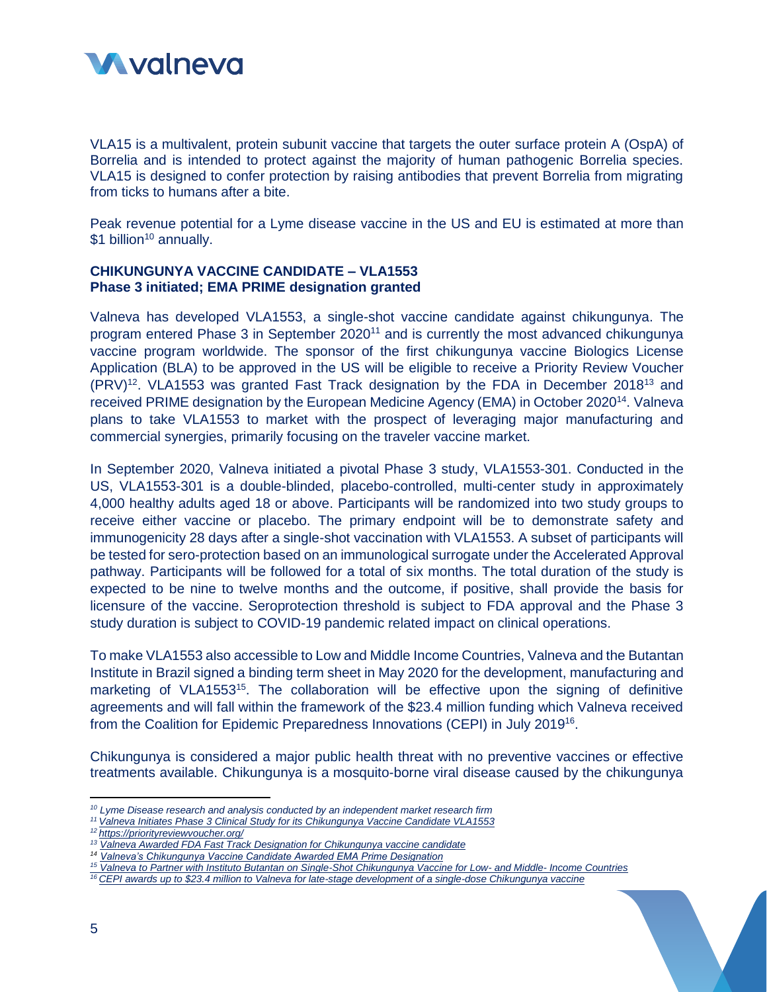

VLA15 is a multivalent, protein subunit vaccine that targets the outer surface protein A (OspA) of Borrelia and is intended to protect against the majority of human pathogenic Borrelia species. VLA15 is designed to confer protection by raising antibodies that prevent Borrelia from migrating from ticks to humans after a bite.

Peak revenue potential for a Lyme disease vaccine in the US and EU is estimated at more than \$1 billion<sup>10</sup> annually.

# **CHIKUNGUNYA VACCINE CANDIDATE – VLA1553 Phase 3 initiated; EMA PRIME designation granted**

Valneva has developed VLA1553, a single-shot vaccine candidate against chikungunya. The program entered Phase 3 in September 2020<sup>11</sup> and is currently the most advanced chikungunya vaccine program worldwide. The sponsor of the first chikungunya vaccine Biologics License Application (BLA) to be approved in the US will be eligible to receive a Priority Review Voucher  $(PRV)^{12}$ . VLA1553 was granted Fast Track designation by the FDA in December 2018<sup>13</sup> and received PRIME designation by the European Medicine Agency (EMA) in October 2020<sup>14</sup>. Valneva plans to take VLA1553 to market with the prospect of leveraging major manufacturing and commercial synergies, primarily focusing on the traveler vaccine market.

In September 2020, Valneva initiated a pivotal Phase 3 study, VLA1553-301. Conducted in the US, VLA1553-301 is a double-blinded, placebo-controlled, multi-center study in approximately 4,000 healthy adults aged 18 or above. Participants will be randomized into two study groups to receive either vaccine or placebo. The primary endpoint will be to demonstrate safety and immunogenicity 28 days after a single-shot vaccination with VLA1553. A subset of participants will be tested for sero-protection based on an immunological surrogate under the Accelerated Approval pathway. Participants will be followed for a total of six months. The total duration of the study is expected to be nine to twelve months and the outcome, if positive, shall provide the basis for licensure of the vaccine. Seroprotection threshold is subject to FDA approval and the Phase 3 study duration is subject to COVID-19 pandemic related impact on clinical operations.

To make VLA1553 also accessible to Low and Middle Income Countries, Valneva and the Butantan Institute in Brazil signed a binding term sheet in May 2020 for the development, manufacturing and marketing of VLA1553<sup>15</sup>. The collaboration will be effective upon the signing of definitive agreements and will fall within the framework of the \$23.4 million funding which Valneva received from the Coalition for Epidemic Preparedness Innovations (CEPI) in July 2019<sup>16</sup>.

Chikungunya is considered a major public health threat with no preventive vaccines or effective treatments available. Chikungunya is a mosquito-borne viral disease caused by the chikungunya

*<sup>14</sup> [Valneva's Chikungunya Vaccine Candidate Awarded EMA Prime Designation](https://valneva.com/press-release/valnevas-chikungunya-vaccine-candidate-awarded-ema-prime-designation/)*

*<sup>16</sup> [CEPI awards up to \\$23.4 million to Valneva for late-stage development of a single-dose Chikungunya vaccine](https://valneva.com/press-release/cepi-awards-up-to-us23-4-million-to-valneva-for-late-stage-development-of-a-single-dose-chikungunya-vaccine/)*

 $\overline{\phantom{a}}$ 

*<sup>10</sup> Lyme Disease research and analysis conducted by an independent market research firm*

*<sup>11</sup> [Valneva Initiates Phase 3 Clinical Study for its Chikungunya Vaccine Candidate VLA1553](https://valneva.com/press-release/valneva-initiates-phase-3-clinical-study-for-its-chikungunya-vaccine-candidate-vla1553/)*

*<sup>12</sup> <https://priorityreviewvoucher.org/>*

*<sup>13</sup> [Valneva Awarded FDA Fast Track Designation for Chikungunya vaccine candidate](https://www.valneva.com/en/investors-media/news/2018#304)*

*<sup>15</sup> [Valneva to Partner with Instituto Butantan on Single-Shot Chikungunya Vaccine for Low-](https://valneva.com/press-release/valneva-to-partner-with-instituto-butantan-on-single-shot-chikungunya-vaccine-for-low-and-middle-income-countries/) and Middle- Income Countries*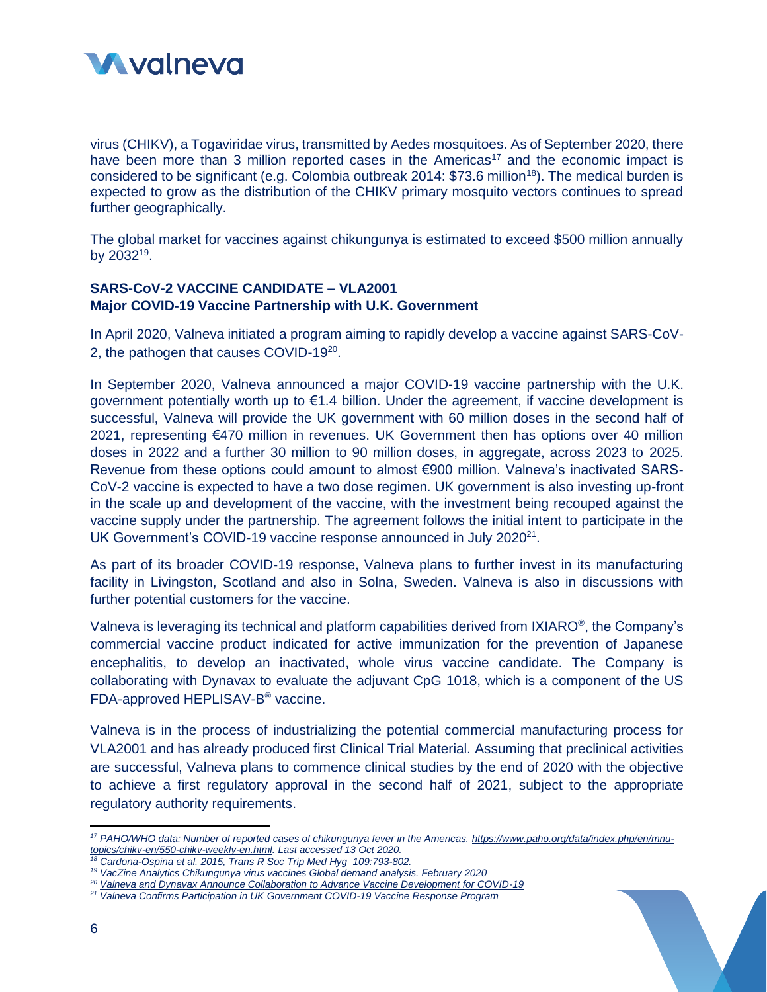

virus (CHIKV), a Togaviridae virus, transmitted by Aedes mosquitoes. As of September 2020, there have been more than 3 million reported cases in the Americas<sup>17</sup> and the economic impact is considered to be significant (e.g. Colombia outbreak 2014:  $$73.6$  million<sup>18</sup>). The medical burden is expected to grow as the distribution of the CHIKV primary mosquito vectors continues to spread further geographically.

The global market for vaccines against chikungunya is estimated to exceed \$500 million annually by 2032<sup>19</sup>.

# **SARS-CoV-2 VACCINE CANDIDATE – VLA2001 Major COVID-19 Vaccine Partnership with U.K. Government**

In April 2020, Valneva initiated a program aiming to rapidly develop a vaccine against SARS-CoV-2, the pathogen that causes COVID-19<sup>20</sup>.

In September 2020, Valneva announced a major COVID-19 vaccine partnership with the U.K. government potentially worth up to €1.4 billion. Under the agreement, if vaccine development is successful, Valneva will provide the UK government with 60 million doses in the second half of 2021, representing €470 million in revenues. UK Government then has options over 40 million doses in 2022 and a further 30 million to 90 million doses, in aggregate, across 2023 to 2025. Revenue from these options could amount to almost €900 million. Valneva's inactivated SARS-CoV-2 vaccine is expected to have a two dose regimen. UK government is also investing up-front in the scale up and development of the vaccine, with the investment being recouped against the vaccine supply under the partnership. The agreement follows the initial intent to participate in the UK Government's COVID-19 vaccine response announced in July 2020<sup>21</sup>.

As part of its broader COVID-19 response, Valneva plans to further invest in its manufacturing facility in Livingston, Scotland and also in Solna, Sweden. Valneva is also in discussions with further potential customers for the vaccine.

Valneva is leveraging its technical and platform capabilities derived from IXIARO<sup>®</sup>, the Company's commercial vaccine product indicated for active immunization for the prevention of Japanese encephalitis, to develop an inactivated, whole virus vaccine candidate. The Company is collaborating with Dynavax to evaluate the adjuvant CpG 1018, which is a component of the US FDA-approved HEPLISAV-B ® vaccine.

Valneva is in the process of industrializing the potential commercial manufacturing process for VLA2001 and has already produced first Clinical Trial Material. Assuming that preclinical activities are successful, Valneva plans to commence clinical studies by the end of 2020 with the objective to achieve a first regulatory approval in the second half of 2021, subject to the appropriate regulatory authority requirements.

l

*<sup>17</sup> PAHO/WHO data: Number of reported cases of chikungunya fever in the Americas. [https://www.paho.org/data/index.php/en/mnu](https://www.paho.org/data/index.php/en/mnu-topics/chikv-en/550-chikv-weekly-en.html)[topics/chikv-en/550-chikv-weekly-en.html.](https://www.paho.org/data/index.php/en/mnu-topics/chikv-en/550-chikv-weekly-en.html) Last accessed 13 Oct 2020.*

*<sup>18</sup> Cardona-Ospina et al. 2015, Trans R Soc Trip Med Hyg 109:793-802.*

*<sup>19</sup> VacZine Analytics Chikungunya virus vaccines Global demand analysis. February 2020*

*<sup>20</sup> [Valneva and Dynavax Announce Collaboration to Advance Vaccine Development for COVID-19](https://valneva.com/press-release/valneva-and-dynavax-announce-collaboration-to-advance-vaccine-development-for-covid-19)*

*<sup>21</sup> [Valneva Confirms Participation in UK Government COVID-19 Vaccine Response Program](https://valneva.com/press-release/valneva-confirms-participation-in-uk-government-covid-19-vaccine-response-program/)*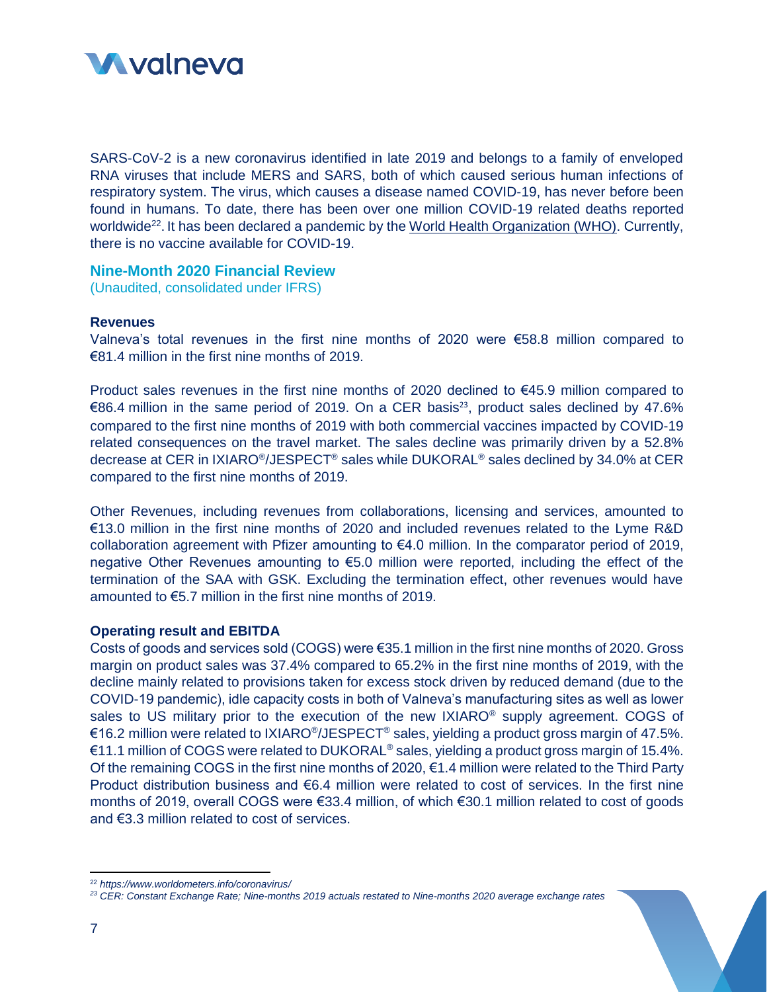

SARS-CoV-2 is a new coronavirus identified in late 2019 and belongs to a family of enveloped RNA viruses that include MERS and SARS, both of which caused serious human infections of respiratory system. The virus, which causes a disease named COVID-19, has never before been found in humans. To date, there has been over one million COVID-19 related deaths reported worldwide<sup>22</sup>. It has been declared a pandemic by the [World Health Organization \(WHO\).](https://www.who.int/) Currently, there is no vaccine available for COVID-19.

# **Nine-Month 2020 Financial Review**

(Unaudited, consolidated under IFRS)

#### **Revenues**

Valneva's total revenues in the first nine months of 2020 were €58.8 million compared to €81.4 million in the first nine months of 2019.

Product sales revenues in the first nine months of 2020 declined to €45.9 million compared to €86.4 million in the same period of 2019. On a CER basis<sup>23</sup>, product sales declined by 47.6% compared to the first nine months of 2019 with both commercial vaccines impacted by COVID-19 related consequences on the travel market. The sales decline was primarily driven by a 52.8% decrease at CER in IXIARO®/JESPECT® sales while DUKORAL® sales declined by 34.0% at CER compared to the first nine months of 2019.

Other Revenues, including revenues from collaborations, licensing and services, amounted to €13.0 million in the first nine months of 2020 and included revenues related to the Lyme R&D collaboration agreement with Pfizer amounting to  $64.0$  million. In the comparator period of 2019, negative Other Revenues amounting to €5.0 million were reported, including the effect of the termination of the SAA with GSK. Excluding the termination effect, other revenues would have amounted to €5.7 million in the first nine months of 2019.

#### **Operating result and EBITDA**

Costs of goods and services sold (COGS) were €35.1 million in the first nine months of 2020. Gross margin on product sales was 37.4% compared to 65.2% in the first nine months of 2019, with the decline mainly related to provisions taken for excess stock driven by reduced demand (due to the COVID-19 pandemic), idle capacity costs in both of Valneva's manufacturing sites as well as lower sales to US military prior to the execution of the new IXIARO<sup>®</sup> supply agreement. COGS of €16.2 million were related to IXIARO®/JESPECT® sales, yielding a product gross margin of 47.5%.  $€11.1$  million of COGS were related to DUKORAL<sup>®</sup> sales, yielding a product gross margin of 15.4%. Of the remaining COGS in the first nine months of 2020, €1.4 million were related to the Third Party Product distribution business and  $\epsilon$ 6.4 million were related to cost of services. In the first nine months of 2019, overall COGS were €33.4 million, of which €30.1 million related to cost of goods and €3.3 million related to cost of services.

 $\overline{\phantom{a}}$ 

<sup>22</sup> *https://www.worldometers.info/coronavirus/*

*<sup>23</sup> CER: Constant Exchange Rate; Nine-months 2019 actuals restated to Nine-months 2020 average exchange rates*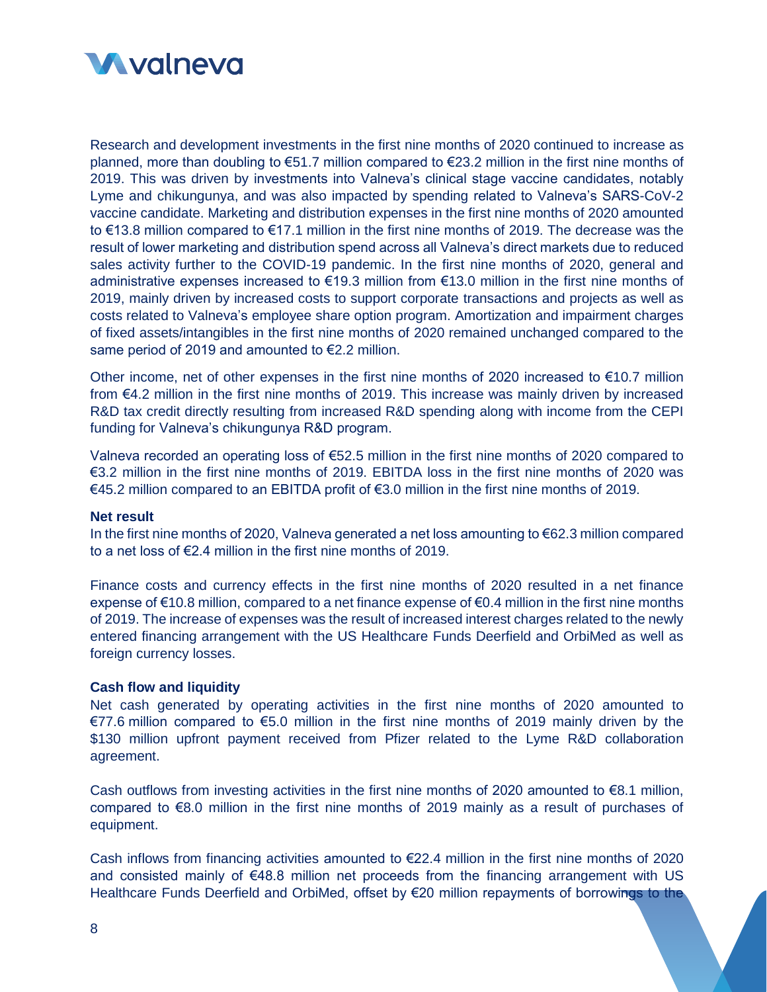

Research and development investments in the first nine months of 2020 continued to increase as planned, more than doubling to €51.7 million compared to €23.2 million in the first nine months of 2019. This was driven by investments into Valneva's clinical stage vaccine candidates, notably Lyme and chikungunya, and was also impacted by spending related to Valneva's SARS-CoV-2 vaccine candidate. Marketing and distribution expenses in the first nine months of 2020 amounted to €13.8 million compared to €17.1 million in the first nine months of 2019. The decrease was the result of lower marketing and distribution spend across all Valneva's direct markets due to reduced sales activity further to the COVID-19 pandemic. In the first nine months of 2020, general and administrative expenses increased to €19.3 million from €13.0 million in the first nine months of 2019, mainly driven by increased costs to support corporate transactions and projects as well as costs related to Valneva's employee share option program. Amortization and impairment charges of fixed assets/intangibles in the first nine months of 2020 remained unchanged compared to the same period of 2019 and amounted to €2.2 million.

Other income, net of other expenses in the first nine months of 2020 increased to  $\epsilon$ 10.7 million from €4.2 million in the first nine months of 2019. This increase was mainly driven by increased R&D tax credit directly resulting from increased R&D spending along with income from the CEPI funding for Valneva's chikungunya R&D program.

Valneva recorded an operating loss of €52.5 million in the first nine months of 2020 compared to €3.2 million in the first nine months of 2019. EBITDA loss in the first nine months of 2020 was €45.2 million compared to an EBITDA profit of €3.0 million in the first nine months of 2019.

#### **Net result**

In the first nine months of 2020, Valneva generated a net loss amounting to €62.3 million compared to a net loss of €2.4 million in the first nine months of 2019.

Finance costs and currency effects in the first nine months of 2020 resulted in a net finance expense of  $\epsilon$ 10.8 million, compared to a net finance expense of  $\epsilon$ 0.4 million in the first nine months of 2019. The increase of expenses was the result of increased interest charges related to the newly entered financing arrangement with the US Healthcare Funds Deerfield and OrbiMed as well as foreign currency losses.

#### **Cash flow and liquidity**

Net cash generated by operating activities in the first nine months of 2020 amounted to €77.6 million compared to €5.0 million in the first nine months of 2019 mainly driven by the \$130 million upfront payment received from Pfizer related to the Lyme R&D collaboration agreement.

Cash outflows from investing activities in the first nine months of 2020 amounted to  $E$ 8.1 million, compared to  $\epsilon$ 8.0 million in the first nine months of 2019 mainly as a result of purchases of equipment.

Cash inflows from financing activities amounted to €22.4 million in the first nine months of 2020 and consisted mainly of €48.8 million net proceeds from the financing arrangement with US Healthcare Funds Deerfield and OrbiMed, offset by €20 million repayments of borrowings to the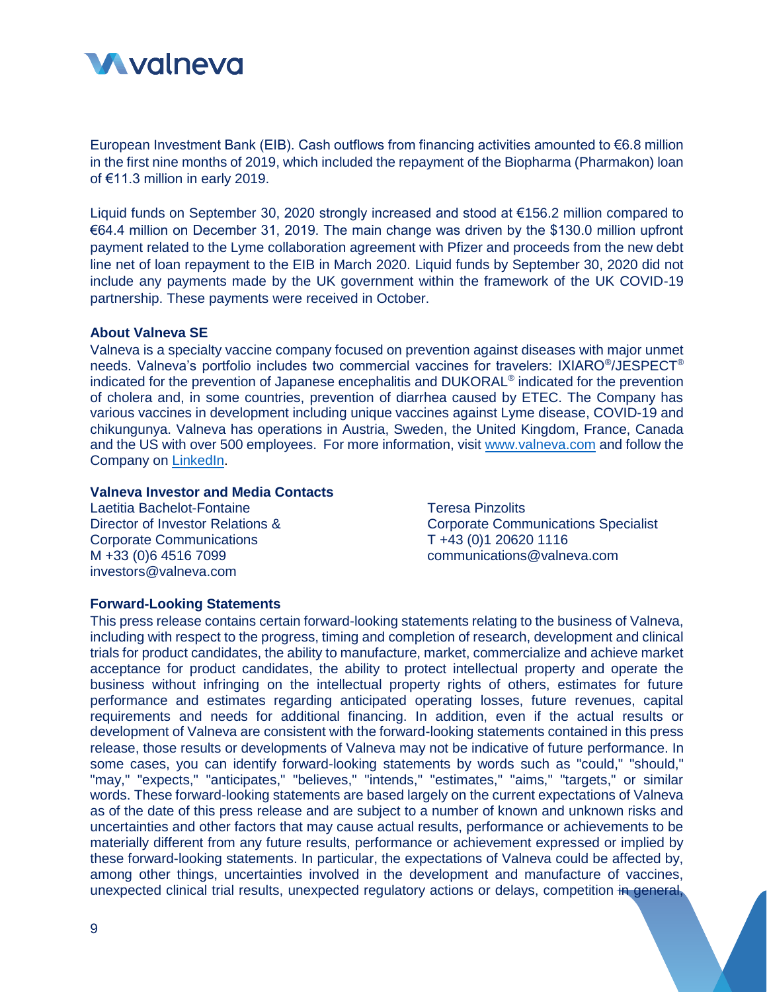

European Investment Bank (EIB). Cash outflows from financing activities amounted to  $\epsilon$ 6.8 million in the first nine months of 2019, which included the repayment of the Biopharma (Pharmakon) loan of €11.3 million in early 2019.

Liquid funds on September 30, 2020 strongly increased and stood at €156.2 million compared to €64.4 million on December 31, 2019. The main change was driven by the \$130.0 million upfront payment related to the Lyme collaboration agreement with Pfizer and proceeds from the new debt line net of loan repayment to the EIB in March 2020. Liquid funds by September 30, 2020 did not include any payments made by the UK government within the framework of the UK COVID-19 partnership. These payments were received in October.

# **About Valneva SE**

Valneva is a specialty vaccine company focused on prevention against diseases with major unmet needs. Valneva's portfolio includes two commercial vaccines for travelers: IXIARO®/JESPECT® indicated for the prevention of Japanese encephalitis and DUKORAL<sup>®</sup> indicated for the prevention of cholera and, in some countries, prevention of diarrhea caused by ETEC. The Company has various vaccines in development including unique vaccines against Lyme disease, COVID-19 and chikungunya. Valneva has operations in Austria, Sweden, the United Kingdom, France, Canada and the US with over 500 employees. For more information, visit [www.valneva.com](http://www.valneva.com/) and follow the Company on [LinkedIn.](https://www.linkedin.com/company/valneva/)

#### **Valneva Investor and Media Contacts**

Laetitia Bachelot-Fontaine Director of Investor Relations & Corporate Communications M +33 (0)6 4516 7099 investors@valneva.com

Teresa Pinzolits Corporate Communications Specialist T +43 (0)1 20620 1116 [communications@valneva.com](mailto:communications@valneva.com)

#### **Forward-Looking Statements**

This press release contains certain forward-looking statements relating to the business of Valneva, including with respect to the progress, timing and completion of research, development and clinical trials for product candidates, the ability to manufacture, market, commercialize and achieve market acceptance for product candidates, the ability to protect intellectual property and operate the business without infringing on the intellectual property rights of others, estimates for future performance and estimates regarding anticipated operating losses, future revenues, capital requirements and needs for additional financing. In addition, even if the actual results or development of Valneva are consistent with the forward-looking statements contained in this press release, those results or developments of Valneva may not be indicative of future performance. In some cases, you can identify forward-looking statements by words such as "could," "should," "may," "expects," "anticipates," "believes," "intends," "estimates," "aims," "targets," or similar words. These forward-looking statements are based largely on the current expectations of Valneva as of the date of this press release and are subject to a number of known and unknown risks and uncertainties and other factors that may cause actual results, performance or achievements to be materially different from any future results, performance or achievement expressed or implied by these forward-looking statements. In particular, the expectations of Valneva could be affected by, among other things, uncertainties involved in the development and manufacture of vaccines, unexpected clinical trial results, unexpected regulatory actions or delays, competition in general,